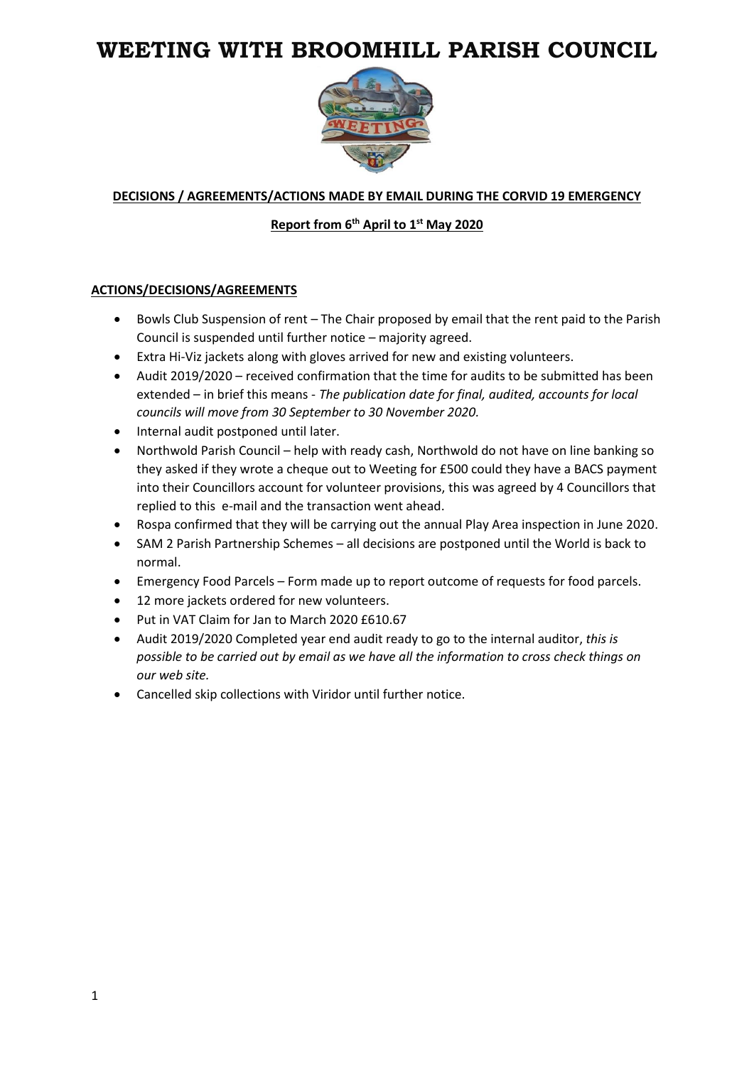# **WEETING WITH BROOMHILL PARISH COUNCIL**



# **DECISIONS / AGREEMENTS/ACTIONS MADE BY EMAIL DURING THE CORVID 19 EMERGENCY**

#### **Report from 6 th April to 1st May 2020**

#### **ACTIONS/DECISIONS/AGREEMENTS**

- Bowls Club Suspension of rent The Chair proposed by email that the rent paid to the Parish Council is suspended until further notice – majority agreed.
- Extra Hi-Viz jackets along with gloves arrived for new and existing volunteers.
- Audit 2019/2020 received confirmation that the time for audits to be submitted has been extended – in brief this means - *The publication date for final, audited, accounts for local councils will move from 30 September to 30 November 2020.*
- Internal audit postponed until later.
- Northwold Parish Council help with ready cash, Northwold do not have on line banking so they asked if they wrote a cheque out to Weeting for £500 could they have a BACS payment into their Councillors account for volunteer provisions, this was agreed by 4 Councillors that replied to this e-mail and the transaction went ahead.
- Rospa confirmed that they will be carrying out the annual Play Area inspection in June 2020.
- SAM 2 Parish Partnership Schemes all decisions are postponed until the World is back to normal.
- Emergency Food Parcels Form made up to report outcome of requests for food parcels.
- 12 more jackets ordered for new volunteers.
- Put in VAT Claim for Jan to March 2020 £610.67
- Audit 2019/2020 Completed year end audit ready to go to the internal auditor, *this is possible to be carried out by email as we have all the information to cross check things on our web site.*
- Cancelled skip collections with Viridor until further notice.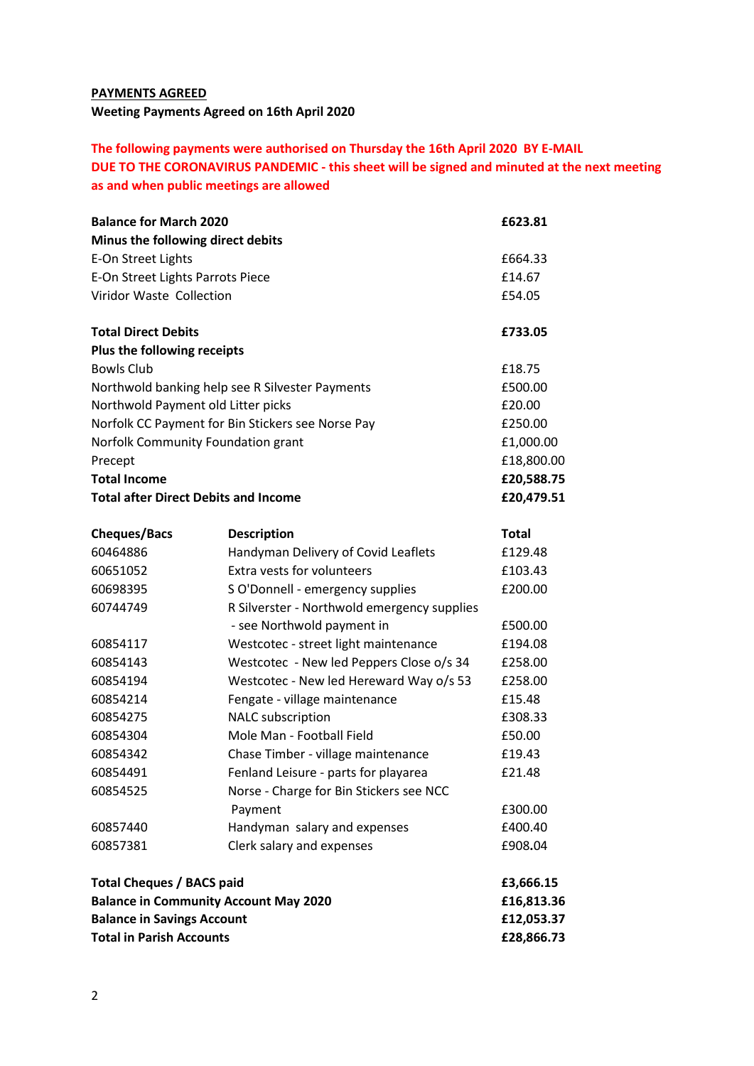# **PAYMENTS AGREED Weeting Payments Agreed on 16th April 2020**

# **The following payments were authorised on Thursday the 16th April 2020 BY E-MAIL DUE TO THE CORONAVIRUS PANDEMIC - this sheet will be signed and minuted at the next meeting as and when public meetings are allowed**

| <b>Balance for March 2020</b>                                                                                        |                                             | £623.81                                |
|----------------------------------------------------------------------------------------------------------------------|---------------------------------------------|----------------------------------------|
| Minus the following direct debits                                                                                    |                                             |                                        |
| E-On Street Lights                                                                                                   |                                             | £664.33                                |
| E-On Street Lights Parrots Piece                                                                                     |                                             | £14.67                                 |
| Viridor Waste Collection<br><b>Total Direct Debits</b>                                                               |                                             | £54.05<br>£733.05                      |
|                                                                                                                      |                                             |                                        |
| <b>Bowls Club</b>                                                                                                    |                                             | £18.75                                 |
| Northwold banking help see R Silvester Payments                                                                      |                                             | £500.00                                |
| Northwold Payment old Litter picks                                                                                   |                                             | £20.00                                 |
| Norfolk CC Payment for Bin Stickers see Norse Pay                                                                    |                                             | £250.00                                |
| Norfolk Community Foundation grant                                                                                   |                                             | £1,000.00                              |
| Precept                                                                                                              |                                             | £18,800.00                             |
| <b>Total Income</b>                                                                                                  |                                             | £20,588.75                             |
| <b>Total after Direct Debits and Income</b>                                                                          |                                             | £20,479.51                             |
| <b>Cheques/Bacs</b>                                                                                                  | <b>Description</b>                          | <b>Total</b>                           |
| 60464886                                                                                                             | Handyman Delivery of Covid Leaflets         | £129.48                                |
| 60651052                                                                                                             | Extra vests for volunteers                  | £103.43                                |
| 60698395                                                                                                             | S O'Donnell - emergency supplies            | £200.00                                |
| 60744749                                                                                                             | R Silverster - Northwold emergency supplies |                                        |
|                                                                                                                      | - see Northwold payment in                  | £500.00                                |
| 60854117                                                                                                             | Westcotec - street light maintenance        | £194.08                                |
| 60854143                                                                                                             | Westcotec - New led Peppers Close o/s 34    | £258.00                                |
| 60854194                                                                                                             | Westcotec - New led Hereward Way o/s 53     | £258.00                                |
| 60854214                                                                                                             | Fengate - village maintenance               | £15.48                                 |
| 60854275                                                                                                             | NALC subscription                           | £308.33                                |
| 60854304                                                                                                             | Mole Man - Football Field                   | £50.00                                 |
| 60854342                                                                                                             | Chase Timber - village maintenance          | £19.43                                 |
| 60854491                                                                                                             | Fenland Leisure - parts for playarea        | £21.48                                 |
| 60854525                                                                                                             | Norse - Charge for Bin Stickers see NCC     |                                        |
|                                                                                                                      | Payment                                     | £300.00                                |
| 60857440                                                                                                             | Handyman salary and expenses                | £400.40                                |
| 60857381                                                                                                             | Clerk salary and expenses                   | £908.04                                |
| <b>Total Cheques / BACS paid</b>                                                                                     |                                             | £3,666.15                              |
| <b>Balance in Community Account May 2020</b><br><b>Balance in Savings Account</b><br><b>Total in Parish Accounts</b> |                                             | £16,813.36<br>£12,053.37<br>£28,866.73 |